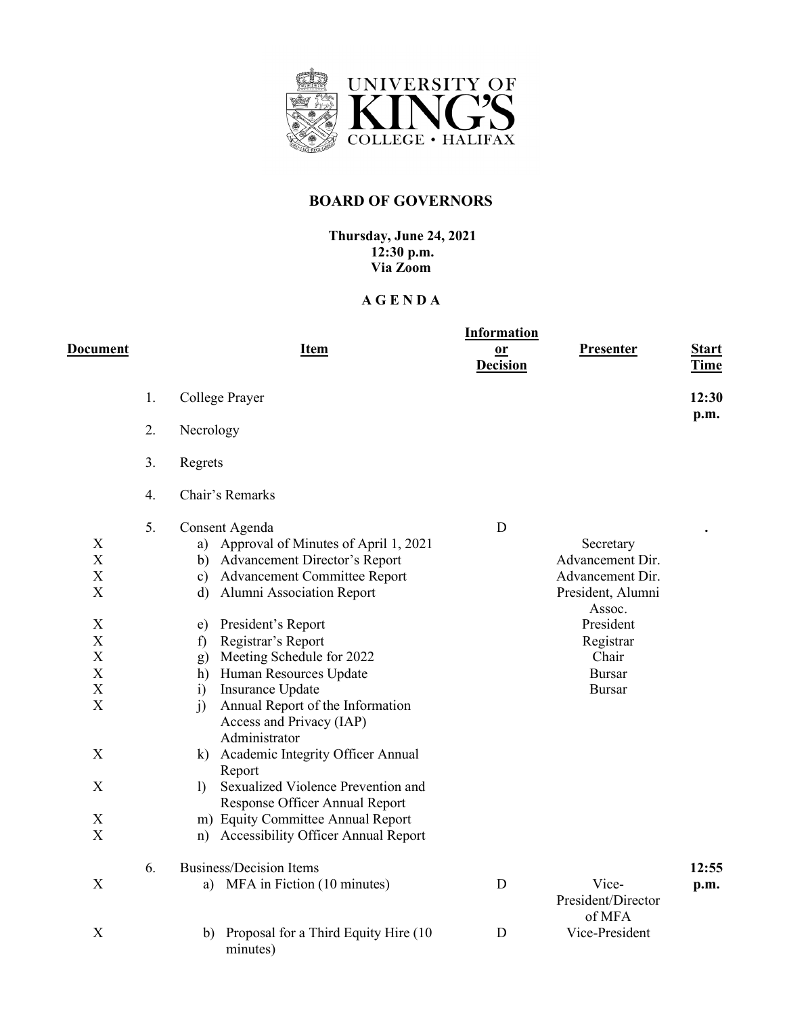

## **BOARD OF GOVERNORS**

**Thursday, June 24, 2021 12:30 p.m. Via Zoom**

## **A G E N D A**

| Document                                                                                                                                                                                                                                                    |    | <b>Item</b>                                                                                                                                                                                                                                                                                                                                                                                                                                                                                                                                                                                                                                                                                        | <b>Information</b><br>or<br><b>Decision</b> | Presenter                                                                                                                                             | <b>Start</b><br><b>Time</b> |
|-------------------------------------------------------------------------------------------------------------------------------------------------------------------------------------------------------------------------------------------------------------|----|----------------------------------------------------------------------------------------------------------------------------------------------------------------------------------------------------------------------------------------------------------------------------------------------------------------------------------------------------------------------------------------------------------------------------------------------------------------------------------------------------------------------------------------------------------------------------------------------------------------------------------------------------------------------------------------------------|---------------------------------------------|-------------------------------------------------------------------------------------------------------------------------------------------------------|-----------------------------|
|                                                                                                                                                                                                                                                             | 1. | College Prayer                                                                                                                                                                                                                                                                                                                                                                                                                                                                                                                                                                                                                                                                                     |                                             |                                                                                                                                                       | 12:30                       |
|                                                                                                                                                                                                                                                             | 2. | Necrology                                                                                                                                                                                                                                                                                                                                                                                                                                                                                                                                                                                                                                                                                          |                                             |                                                                                                                                                       | p.m.                        |
|                                                                                                                                                                                                                                                             | 3. | Regrets                                                                                                                                                                                                                                                                                                                                                                                                                                                                                                                                                                                                                                                                                            |                                             |                                                                                                                                                       |                             |
|                                                                                                                                                                                                                                                             | 4. | Chair's Remarks                                                                                                                                                                                                                                                                                                                                                                                                                                                                                                                                                                                                                                                                                    |                                             |                                                                                                                                                       |                             |
| X<br>X<br>$\boldsymbol{\mathrm{X}}$<br>$\boldsymbol{\mathrm{X}}$<br>X<br>$\mathbf X$<br>$\boldsymbol{\mathrm{X}}$<br>$\mathbf X$<br>$\mathbf X$<br>$\boldsymbol{\mathrm{X}}$<br>$\mathbf X$<br>$\boldsymbol{X}$<br>$\mathbf X$<br>$\boldsymbol{\mathrm{X}}$ | 5. | Consent Agenda<br>Approval of Minutes of April 1, 2021<br>a)<br>Advancement Director's Report<br>b)<br>Advancement Committee Report<br>$\mathbf{c})$<br>Alumni Association Report<br>$\mathbf{d}$<br>President's Report<br>e)<br>Registrar's Report<br>f)<br>Meeting Schedule for 2022<br>g)<br>Human Resources Update<br>h)<br>Insurance Update<br>$\ddot{i}$<br>Annual Report of the Information<br>$\mathbf{j}$<br>Access and Privacy (IAP)<br>Administrator<br>k) Academic Integrity Officer Annual<br>Report<br>Sexualized Violence Prevention and<br>$\mathbf{D}$<br>Response Officer Annual Report<br>m) Equity Committee Annual Report<br><b>Accessibility Officer Annual Report</b><br>n) | D                                           | Secretary<br>Advancement Dir.<br>Advancement Dir.<br>President, Alumni<br>Assoc.<br>President<br>Registrar<br>Chair<br><b>Bursar</b><br><b>Bursar</b> |                             |
| $\boldsymbol{\mathrm{X}}$                                                                                                                                                                                                                                   | 6. | <b>Business/Decision Items</b><br>MFA in Fiction (10 minutes)<br>a)                                                                                                                                                                                                                                                                                                                                                                                                                                                                                                                                                                                                                                | D                                           | Vice-<br>President/Director                                                                                                                           | 12:55<br>p.m.               |
| X                                                                                                                                                                                                                                                           |    | Proposal for a Third Equity Hire (10<br>b)<br>minutes)                                                                                                                                                                                                                                                                                                                                                                                                                                                                                                                                                                                                                                             | D                                           | of MFA<br>Vice-President                                                                                                                              |                             |
|                                                                                                                                                                                                                                                             |    |                                                                                                                                                                                                                                                                                                                                                                                                                                                                                                                                                                                                                                                                                                    |                                             |                                                                                                                                                       |                             |